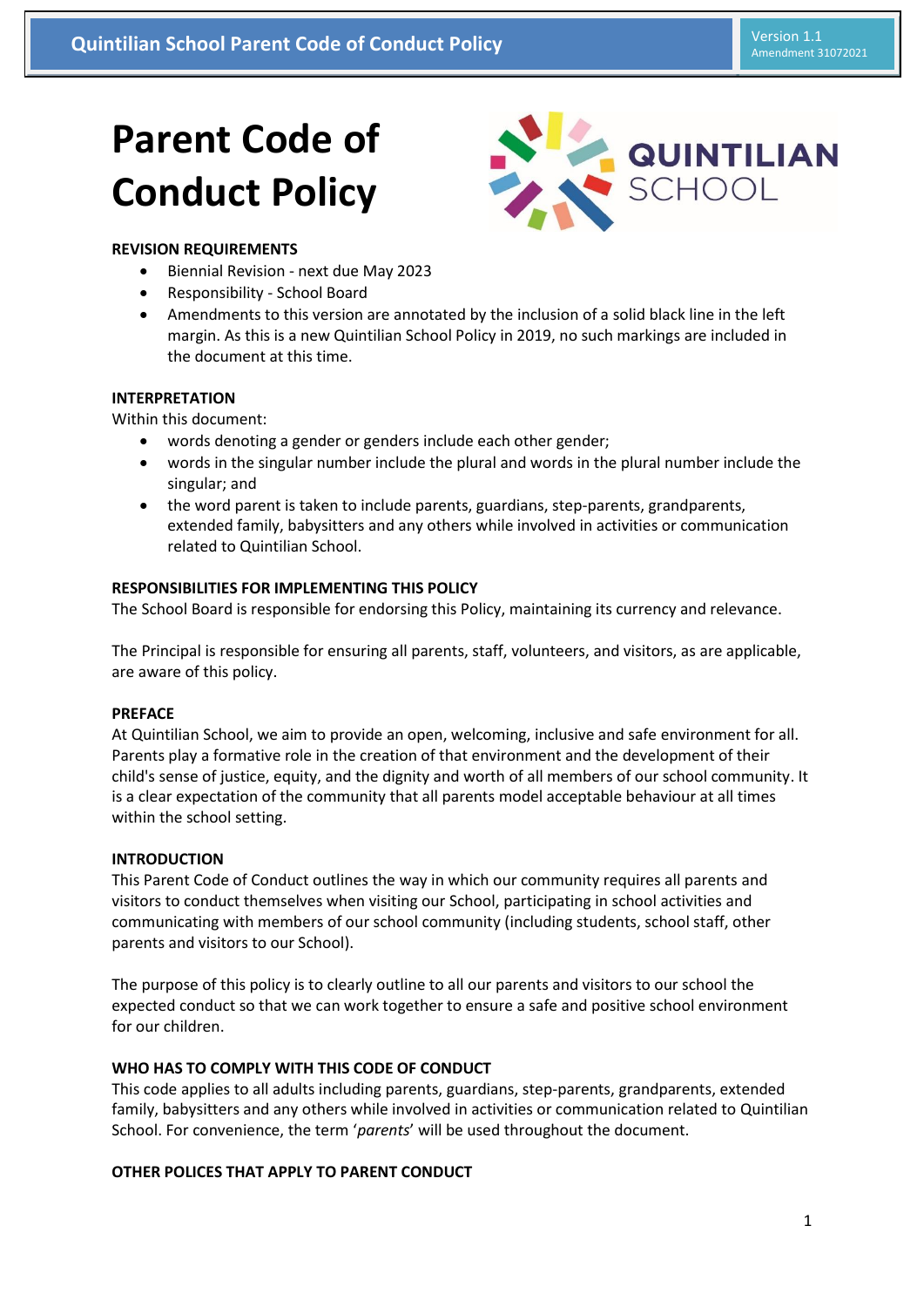# **Parent Code of Conduct Policy**



# **REVISION REQUIREMENTS**

- Biennial Revision next due May 2023
- Responsibility School Board
- Amendments to this version are annotated by the inclusion of a solid black line in the left margin. As this is a new Quintilian School Policy in 2019, no such markings are included in the document at this time.

### **INTERPRETATION**

Within this document:

- words denoting a gender or genders include each other gender;
- words in the singular number include the plural and words in the plural number include the singular; and
- the word parent is taken to include parents, guardians, step-parents, grandparents, extended family, babysitters and any others while involved in activities or communication related to Quintilian School.

# **RESPONSIBILITIES FOR IMPLEMENTING THIS POLICY**

The School Board is responsible for endorsing this Policy, maintaining its currency and relevance.

The Principal is responsible for ensuring all parents, staff, volunteers, and visitors, as are applicable, are aware of this policy.

### **PREFACE**

At Quintilian School, we aim to provide an open, welcoming, inclusive and safe environment for all. Parents play a formative role in the creation of that environment and the development of their child's sense of justice, equity, and the dignity and worth of all members of our school community. It is a clear expectation of the community that all parents model acceptable behaviour at all times within the school setting.

### **INTRODUCTION**

This Parent Code of Conduct outlines the way in which our community requires all parents and visitors to conduct themselves when visiting our School, participating in school activities and communicating with members of our school community (including students, school staff, other parents and visitors to our School).

The purpose of this policy is to clearly outline to all our parents and visitors to our school the expected conduct so that we can work together to ensure a safe and positive school environment for our children.

# **WHO HAS TO COMPLY WITH THIS CODE OF CONDUCT**

This code applies to all adults including parents, guardians, step-parents, grandparents, extended family, babysitters and any others while involved in activities or communication related to Quintilian School. For convenience, the term '*parents*' will be used throughout the document.

### **OTHER POLICES THAT APPLY TO PARENT CONDUCT**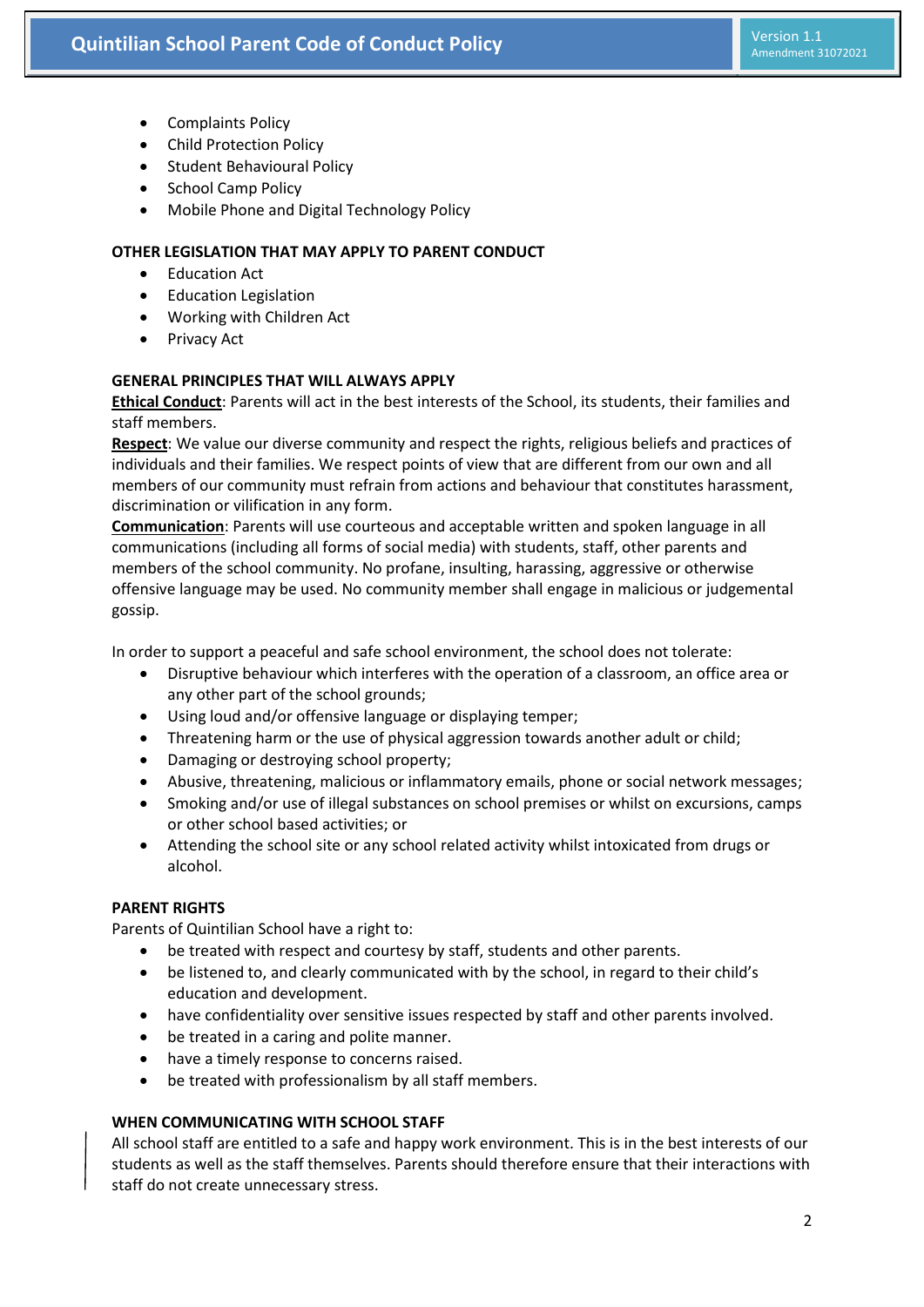- Complaints Policy
- Child Protection Policy
- **•** Student Behavioural Policy
- School Camp Policy
- Mobile Phone and Digital Technology Policy

### **OTHER LEGISLATION THAT MAY APPLY TO PARENT CONDUCT**

- Education Act
- Education Legislation
- Working with Children Act
- Privacy Act

### **GENERAL PRINCIPLES THAT WILL ALWAYS APPLY**

**Ethical Conduct**: Parents will act in the best interests of the School, its students, their families and staff members.

**Respect**: We value our diverse community and respect the rights, religious beliefs and practices of individuals and their families. We respect points of view that are different from our own and all members of our community must refrain from actions and behaviour that constitutes harassment, discrimination or vilification in any form.

**Communication**: Parents will use courteous and acceptable written and spoken language in all communications (including all forms of social media) with students, staff, other parents and members of the school community. No profane, insulting, harassing, aggressive or otherwise offensive language may be used. No community member shall engage in malicious or judgemental gossip.

In order to support a peaceful and safe school environment, the school does not tolerate:

- Disruptive behaviour which interferes with the operation of a classroom, an office area or any other part of the school grounds;
- Using loud and/or offensive language or displaying temper;
- Threatening harm or the use of physical aggression towards another adult or child;
- Damaging or destroying school property;
- Abusive, threatening, malicious or inflammatory emails, phone or social network messages;
- Smoking and/or use of illegal substances on school premises or whilst on excursions, camps or other school based activities; or
- Attending the school site or any school related activity whilst intoxicated from drugs or alcohol.

## **PARENT RIGHTS**

Parents of Quintilian School have a right to:

- be treated with respect and courtesy by staff, students and other parents.
- be listened to, and clearly communicated with by the school, in regard to their child's education and development.
- have confidentiality over sensitive issues respected by staff and other parents involved.
- be treated in a caring and polite manner.
- have a timely response to concerns raised.
- be treated with professionalism by all staff members.

## **WHEN COMMUNICATING WITH SCHOOL STAFF**

All school staff are entitled to a safe and happy work environment. This is in the best interests of our students as well as the staff themselves. Parents should therefore ensure that their interactions with staff do not create unnecessary stress.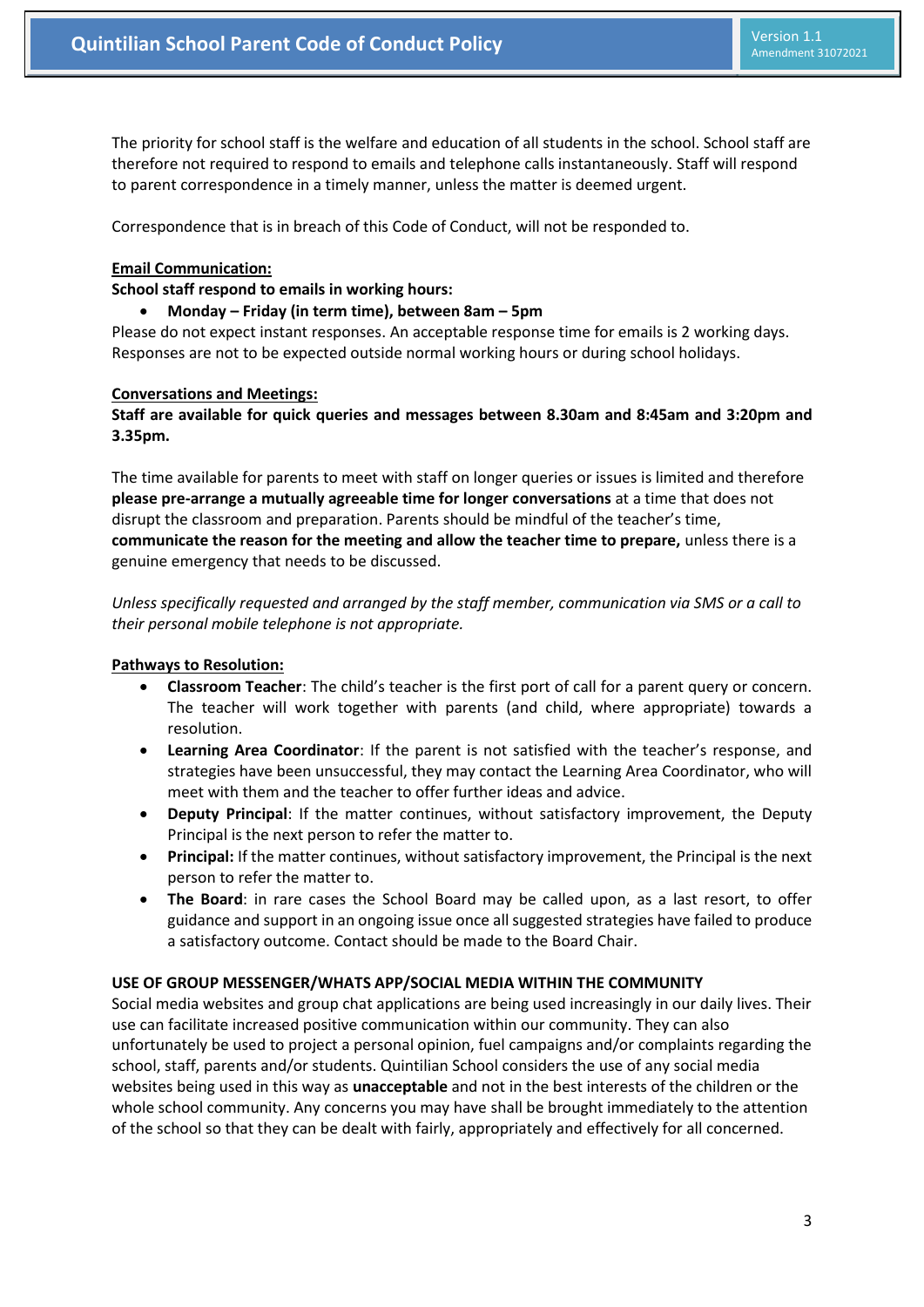The priority for school staff is the welfare and education of all students in the school. School staff are therefore not required to respond to emails and telephone calls instantaneously. Staff will respond to parent correspondence in a timely manner, unless the matter is deemed urgent.

Correspondence that is in breach of this Code of Conduct, will not be responded to.

#### **Email Communication:**

#### **School staff respond to emails in working hours:**

#### **Monday – Friday (in term time), between 8am – 5pm**

Please do not expect instant responses. An acceptable response time for emails is 2 working days. Responses are not to be expected outside normal working hours or during school holidays.

#### **Conversations and Meetings:**

# **Staff are available for quick queries and messages between 8.30am and 8:45am and 3:20pm and 3.35pm.**

The time available for parents to meet with staff on longer queries or issues is limited and therefore **please pre-arrange a mutually agreeable time for longer conversations** at a time that does not disrupt the classroom and preparation. Parents should be mindful of the teacher's time, **communicate the reason for the meeting and allow the teacher time to prepare,** unless there is a genuine emergency that needs to be discussed.

*Unless specifically requested and arranged by the staff member, communication via SMS or a call to their personal mobile telephone is not appropriate.*

### **Pathways to Resolution:**

- **Classroom Teacher**: The child's teacher is the first port of call for a parent query or concern. The teacher will work together with parents (and child, where appropriate) towards a resolution.
- **Learning Area Coordinator**: If the parent is not satisfied with the teacher's response, and strategies have been unsuccessful, they may contact the Learning Area Coordinator, who will meet with them and the teacher to offer further ideas and advice.
- **Deputy Principal**: If the matter continues, without satisfactory improvement, the Deputy Principal is the next person to refer the matter to.
- **Principal:** If the matter continues, without satisfactory improvement, the Principal is the next person to refer the matter to.
- **The Board**: in rare cases the School Board may be called upon, as a last resort, to offer guidance and support in an ongoing issue once all suggested strategies have failed to produce a satisfactory outcome. Contact should be made to the Board Chair.

### **USE OF GROUP MESSENGER/WHATS APP/SOCIAL MEDIA WITHIN THE COMMUNITY**

Social media websites and group chat applications are being used increasingly in our daily lives. Their use can facilitate increased positive communication within our community. They can also unfortunately be used to project a personal opinion, fuel campaigns and/or complaints regarding the school, staff, parents and/or students. Quintilian School considers the use of any social media websites being used in this way as **unacceptable** and not in the best interests of the children or the whole school community. Any concerns you may have shall be brought immediately to the attention of the school so that they can be dealt with fairly, appropriately and effectively for all concerned.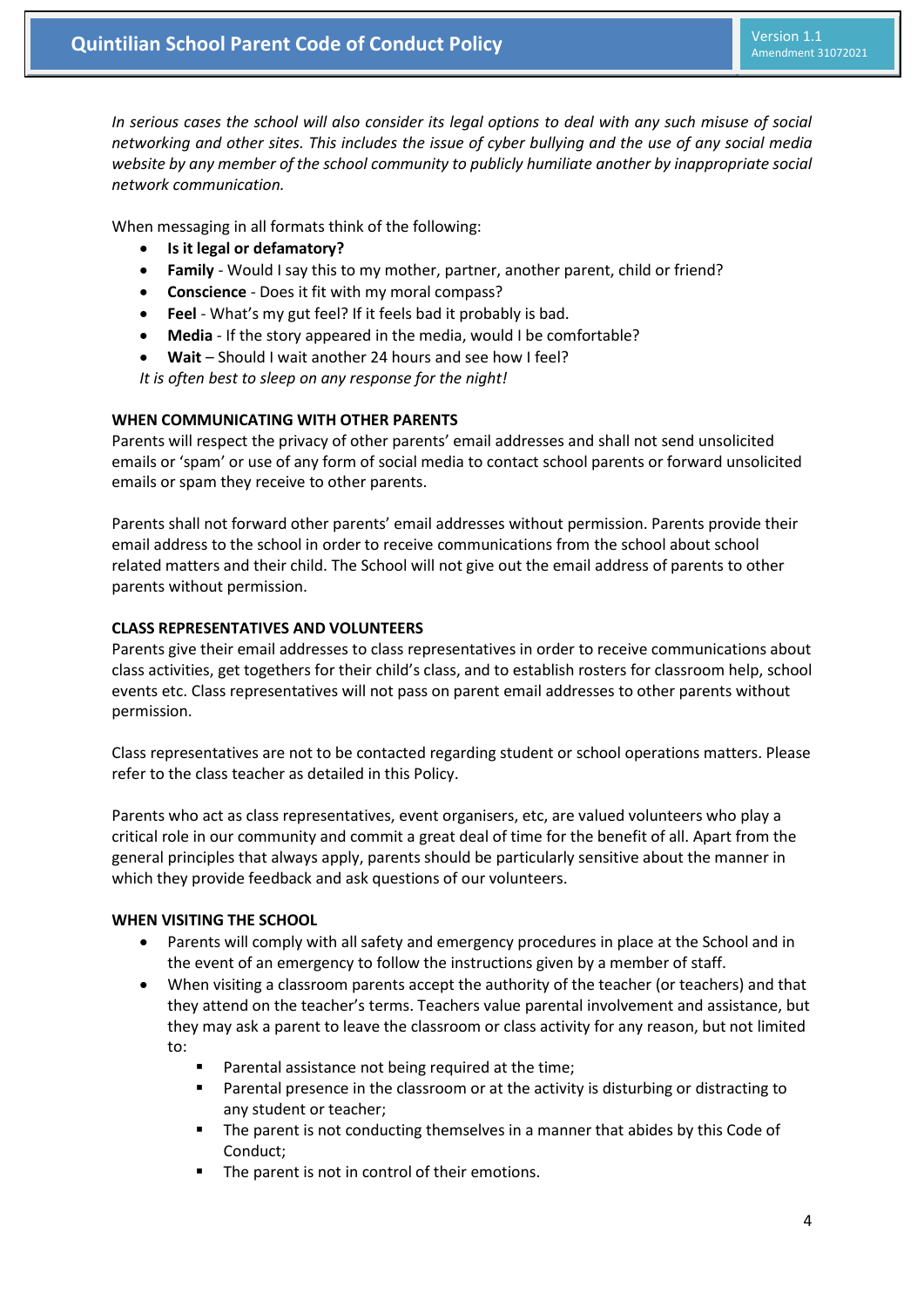*In serious cases the school will also consider its legal options to deal with any such misuse of social networking and other sites. This includes the issue of cyber bullying and the use of any social media website by any member of the school community to publicly humiliate another by inappropriate social network communication.*

When messaging in all formats think of the following:

- **Is it legal or defamatory?**
- **Family** Would I say this to my mother, partner, another parent, child or friend?
- **Conscience**  Does it fit with my moral compass?
- **Feel**  What's my gut feel? If it feels bad it probably is bad.
- **Media** If the story appeared in the media, would I be comfortable?
- **Wait**  Should I wait another 24 hours and see how I feel?

*It is often best to sleep on any response for the night!*

### **WHEN COMMUNICATING WITH OTHER PARENTS**

Parents will respect the privacy of other parents' email addresses and shall not send unsolicited emails or 'spam' or use of any form of social media to contact school parents or forward unsolicited emails or spam they receive to other parents.

Parents shall not forward other parents' email addresses without permission. Parents provide their email address to the school in order to receive communications from the school about school related matters and their child. The School will not give out the email address of parents to other parents without permission.

# **CLASS REPRESENTATIVES AND VOLUNTEERS**

Parents give their email addresses to class representatives in order to receive communications about class activities, get togethers for their child's class, and to establish rosters for classroom help, school events etc. Class representatives will not pass on parent email addresses to other parents without permission.

Class representatives are not to be contacted regarding student or school operations matters. Please refer to the class teacher as detailed in this Policy.

Parents who act as class representatives, event organisers, etc, are valued volunteers who play a critical role in our community and commit a great deal of time for the benefit of all. Apart from the general principles that always apply, parents should be particularly sensitive about the manner in which they provide feedback and ask questions of our volunteers.

### **WHEN VISITING THE SCHOOL**

- Parents will comply with all safety and emergency procedures in place at the School and in the event of an emergency to follow the instructions given by a member of staff.
- When visiting a classroom parents accept the authority of the teacher (or teachers) and that they attend on the teacher's terms. Teachers value parental involvement and assistance, but they may ask a parent to leave the classroom or class activity for any reason, but not limited to:
	- Parental assistance not being required at the time;
	- **Parental presence in the classroom or at the activity is disturbing or distracting to** any student or teacher;
	- The parent is not conducting themselves in a manner that abides by this Code of Conduct;
	- The parent is not in control of their emotions.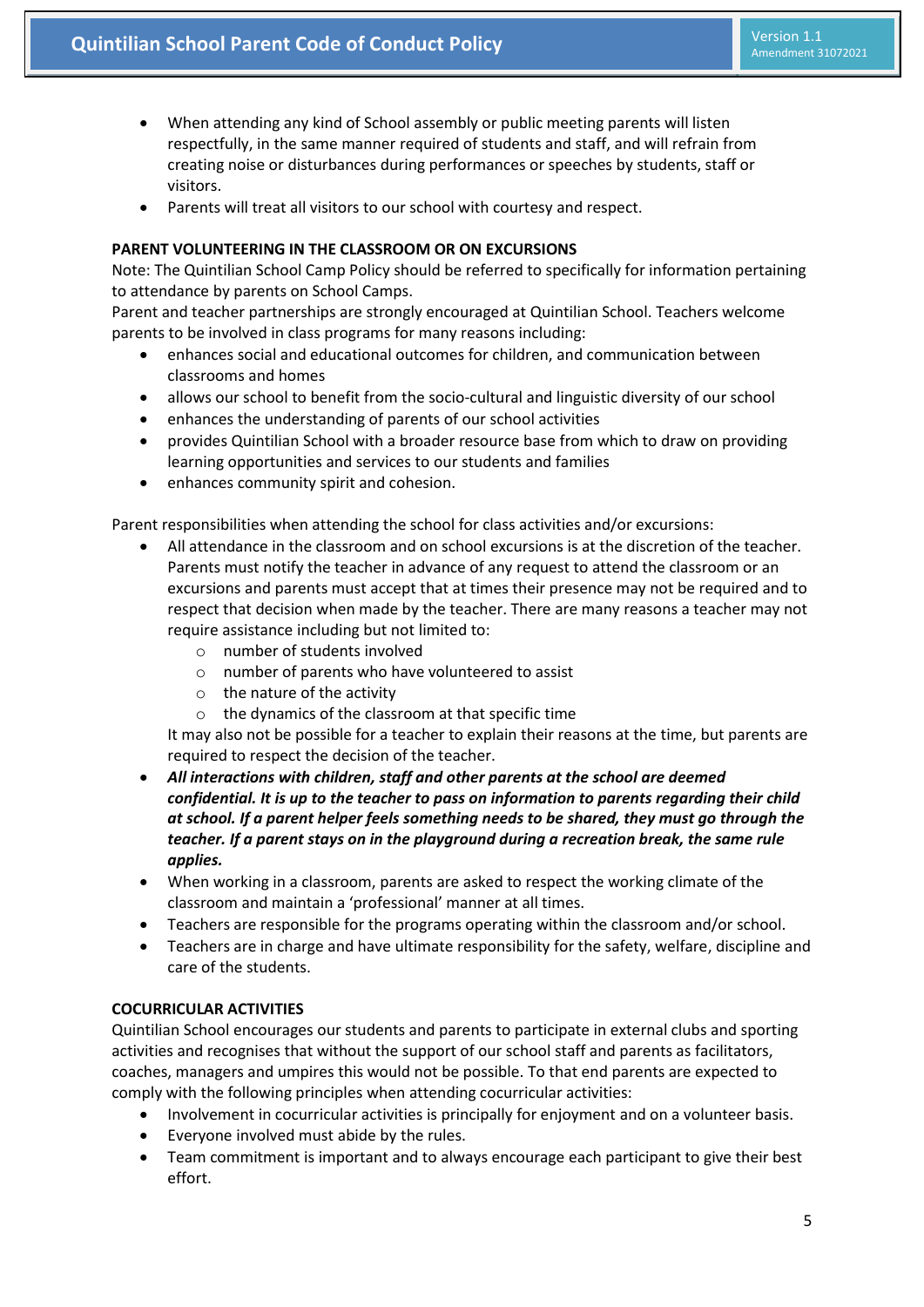- When attending any kind of School assembly or public meeting parents will listen respectfully, in the same manner required of students and staff, and will refrain from creating noise or disturbances during performances or speeches by students, staff or visitors.
- Parents will treat all visitors to our school with courtesy and respect.

## **PARENT VOLUNTEERING IN THE CLASSROOM OR ON EXCURSIONS**

Note: The Quintilian School Camp Policy should be referred to specifically for information pertaining to attendance by parents on School Camps.

Parent and teacher partnerships are strongly encouraged at Quintilian School. Teachers welcome parents to be involved in class programs for many reasons including:

- enhances social and educational outcomes for children, and communication between classrooms and homes
- allows our school to benefit from the socio-cultural and linguistic diversity of our school
- enhances the understanding of parents of our school activities
- provides Quintilian School with a broader resource base from which to draw on providing learning opportunities and services to our students and families
- enhances community spirit and cohesion.

Parent responsibilities when attending the school for class activities and/or excursions:

- All attendance in the classroom and on school excursions is at the discretion of the teacher. Parents must notify the teacher in advance of any request to attend the classroom or an excursions and parents must accept that at times their presence may not be required and to respect that decision when made by the teacher. There are many reasons a teacher may not require assistance including but not limited to:
	- o number of students involved
	- o number of parents who have volunteered to assist
	- o the nature of the activity
	- o the dynamics of the classroom at that specific time

It may also not be possible for a teacher to explain their reasons at the time, but parents are required to respect the decision of the teacher.

- *All interactions with children, staff and other parents at the school are deemed confidential. It is up to the teacher to pass on information to parents regarding their child at school. If a parent helper feels something needs to be shared, they must go through the teacher. If a parent stays on in the playground during a recreation break, the same rule applies.*
- When working in a classroom, parents are asked to respect the working climate of the classroom and maintain a 'professional' manner at all times.
- Teachers are responsible for the programs operating within the classroom and/or school.
- Teachers are in charge and have ultimate responsibility for the safety, welfare, discipline and care of the students.

### **COCURRICULAR ACTIVITIES**

Quintilian School encourages our students and parents to participate in external clubs and sporting activities and recognises that without the support of our school staff and parents as facilitators, coaches, managers and umpires this would not be possible. To that end parents are expected to comply with the following principles when attending cocurricular activities:

- Involvement in cocurricular activities is principally for enjoyment and on a volunteer basis.
- Everyone involved must abide by the rules.
- Team commitment is important and to always encourage each participant to give their best effort.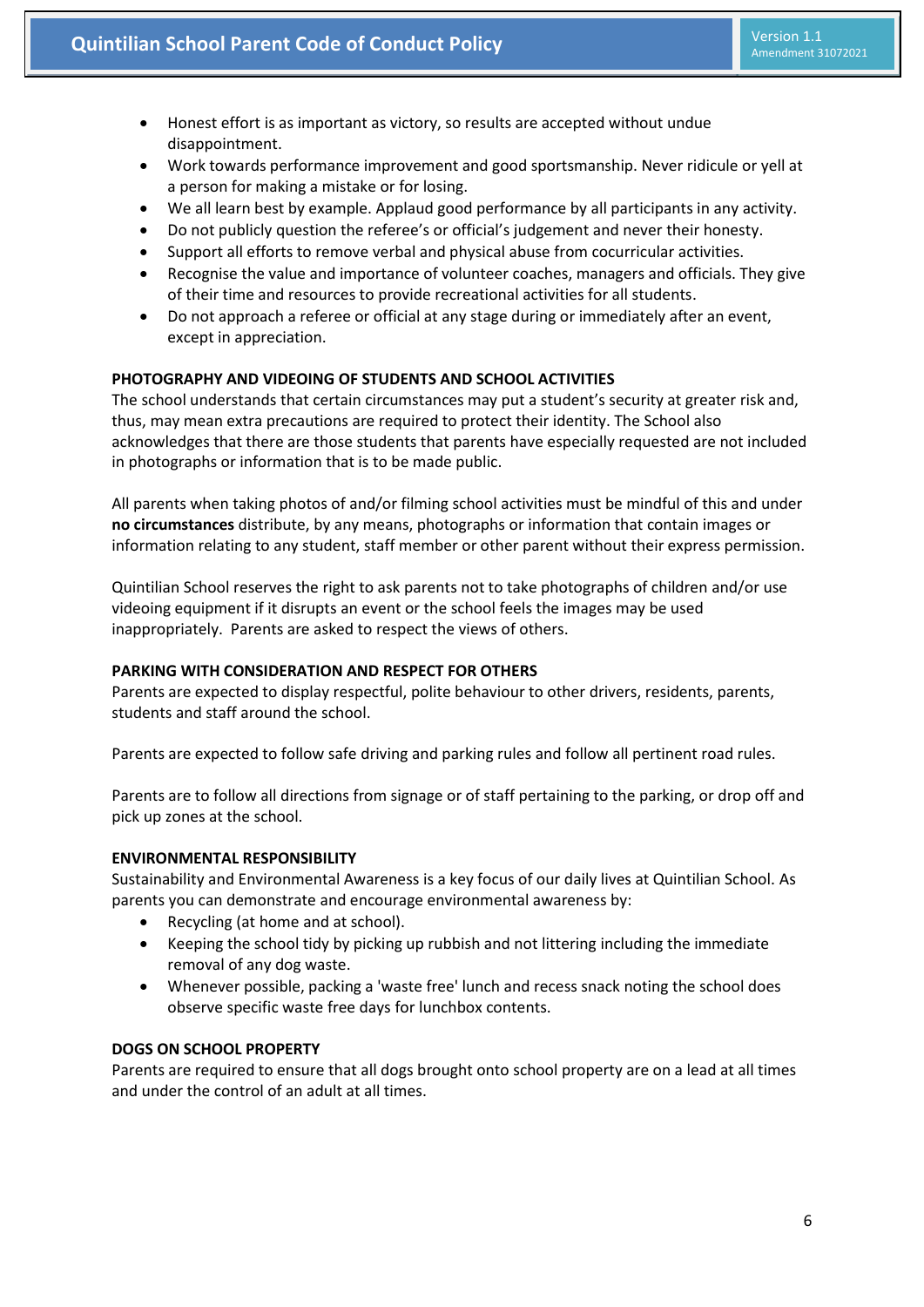- Honest effort is as important as victory, so results are accepted without undue disappointment.
- Work towards performance improvement and good sportsmanship. Never ridicule or yell at a person for making a mistake or for losing.
- We all learn best by example. Applaud good performance by all participants in any activity.
- Do not publicly question the referee's or official's judgement and never their honesty.
- Support all efforts to remove verbal and physical abuse from cocurricular activities.
- Recognise the value and importance of volunteer coaches, managers and officials. They give of their time and resources to provide recreational activities for all students.
- Do not approach a referee or official at any stage during or immediately after an event, except in appreciation.

# **PHOTOGRAPHY AND VIDEOING OF STUDENTS AND SCHOOL ACTIVITIES**

The school understands that certain circumstances may put a student's security at greater risk and, thus, may mean extra precautions are required to protect their identity. The School also acknowledges that there are those students that parents have especially requested are not included in photographs or information that is to be made public.

All parents when taking photos of and/or filming school activities must be mindful of this and under **no circumstances** distribute, by any means, photographs or information that contain images or information relating to any student, staff member or other parent without their express permission.

Quintilian School reserves the right to ask parents not to take photographs of children and/or use videoing equipment if it disrupts an event or the school feels the images may be used inappropriately. Parents are asked to respect the views of others.

### **PARKING WITH CONSIDERATION AND RESPECT FOR OTHERS**

Parents are expected to display respectful, polite behaviour to other drivers, residents, parents, students and staff around the school.

Parents are expected to follow safe driving and parking rules and follow all pertinent road rules.

Parents are to follow all directions from signage or of staff pertaining to the parking, or drop off and pick up zones at the school.

### **ENVIRONMENTAL RESPONSIBILITY**

Sustainability and Environmental Awareness is a key focus of our daily lives at Quintilian School. As parents you can demonstrate and encourage environmental awareness by:

- Recycling (at home and at school).
- Keeping the school tidy by picking up rubbish and not littering including the immediate removal of any dog waste.
- Whenever possible, packing a 'waste free' lunch and recess snack noting the school does observe specific waste free days for lunchbox contents.

### **DOGS ON SCHOOL PROPERTY**

Parents are required to ensure that all dogs brought onto school property are on a lead at all times and under the control of an adult at all times.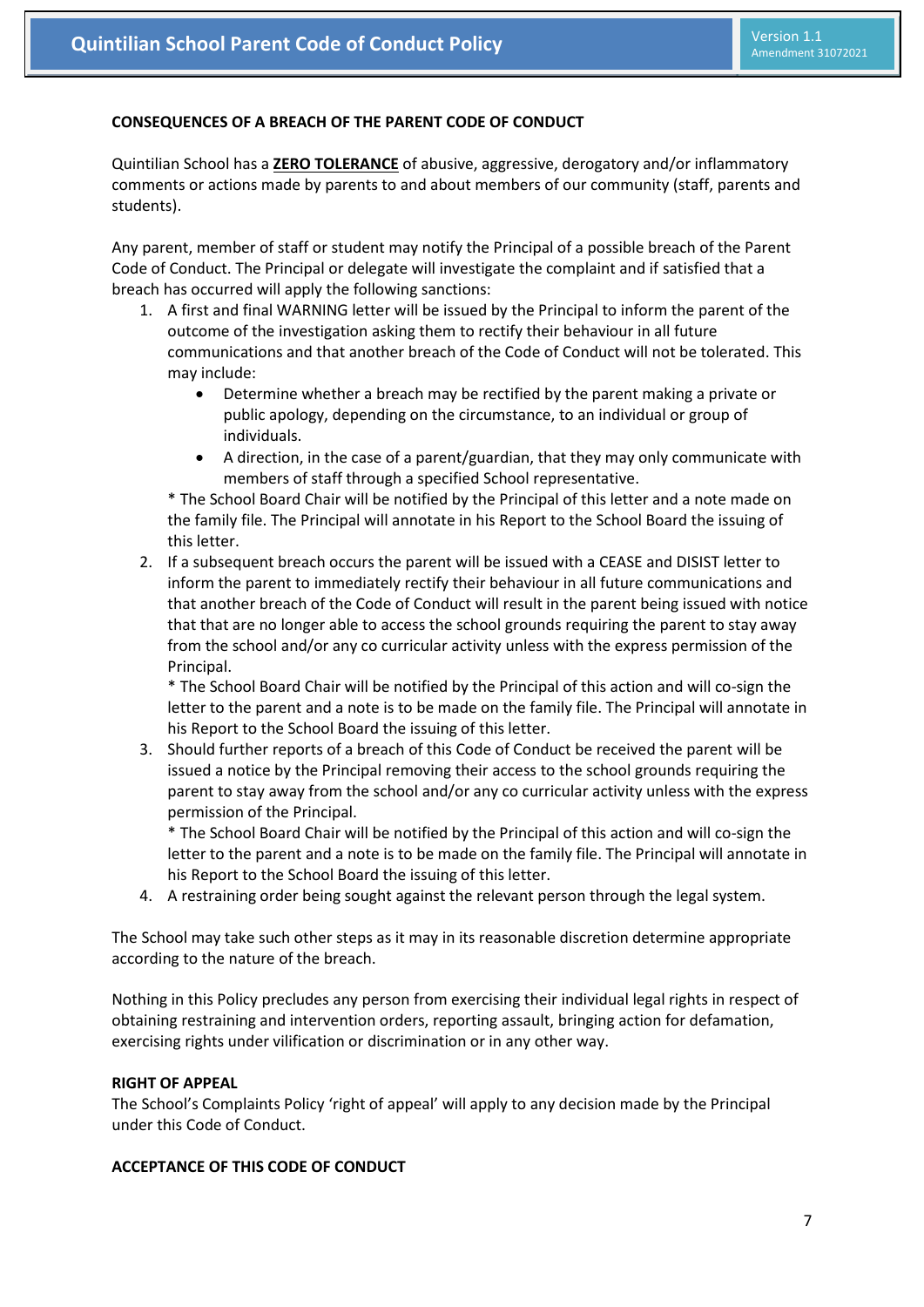## **CONSEQUENCES OF A BREACH OF THE PARENT CODE OF CONDUCT**

Quintilian School has a **ZERO TOLERANCE** of abusive, aggressive, derogatory and/or inflammatory comments or actions made by parents to and about members of our community (staff, parents and students).

Any parent, member of staff or student may notify the Principal of a possible breach of the Parent Code of Conduct. The Principal or delegate will investigate the complaint and if satisfied that a breach has occurred will apply the following sanctions:

- 1. A first and final WARNING letter will be issued by the Principal to inform the parent of the outcome of the investigation asking them to rectify their behaviour in all future communications and that another breach of the Code of Conduct will not be tolerated. This may include:
	- Determine whether a breach may be rectified by the parent making a private or public apology, depending on the circumstance, to an individual or group of individuals.
	- A direction, in the case of a parent/guardian, that they may only communicate with members of staff through a specified School representative.

\* The School Board Chair will be notified by the Principal of this letter and a note made on the family file. The Principal will annotate in his Report to the School Board the issuing of this letter.

2. If a subsequent breach occurs the parent will be issued with a CEASE and DISIST letter to inform the parent to immediately rectify their behaviour in all future communications and that another breach of the Code of Conduct will result in the parent being issued with notice that that are no longer able to access the school grounds requiring the parent to stay away from the school and/or any co curricular activity unless with the express permission of the Principal.

\* The School Board Chair will be notified by the Principal of this action and will co-sign the letter to the parent and a note is to be made on the family file. The Principal will annotate in his Report to the School Board the issuing of this letter.

3. Should further reports of a breach of this Code of Conduct be received the parent will be issued a notice by the Principal removing their access to the school grounds requiring the parent to stay away from the school and/or any co curricular activity unless with the express permission of the Principal.

\* The School Board Chair will be notified by the Principal of this action and will co-sign the letter to the parent and a note is to be made on the family file. The Principal will annotate in his Report to the School Board the issuing of this letter.

4. A restraining order being sought against the relevant person through the legal system.

The School may take such other steps as it may in its reasonable discretion determine appropriate according to the nature of the breach.

Nothing in this Policy precludes any person from exercising their individual legal rights in respect of obtaining restraining and intervention orders, reporting assault, bringing action for defamation, exercising rights under vilification or discrimination or in any other way.

#### **RIGHT OF APPEAL**

The School's Complaints Policy 'right of appeal' will apply to any decision made by the Principal under this Code of Conduct.

### **ACCEPTANCE OF THIS CODE OF CONDUCT**